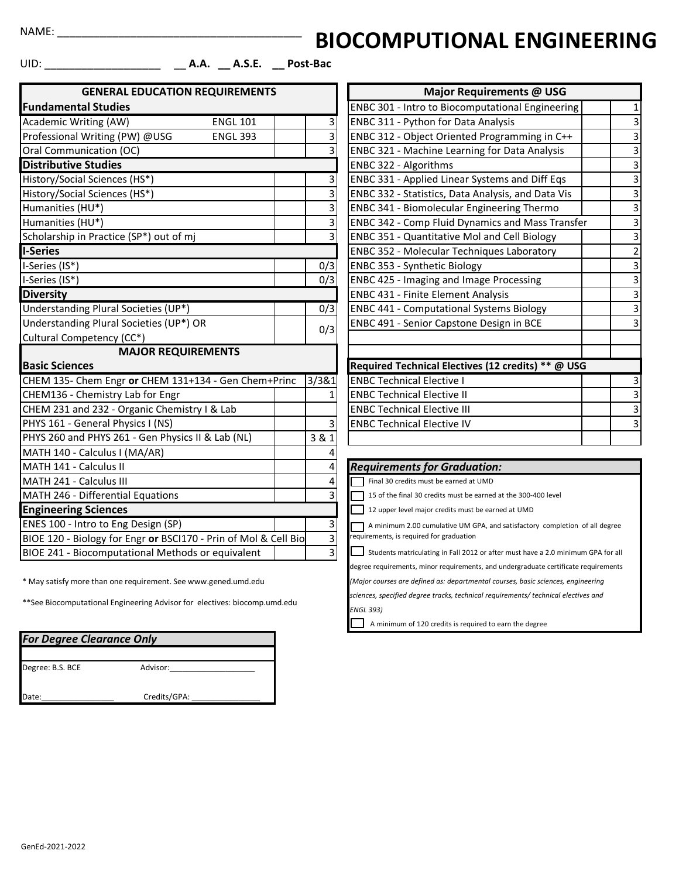NAME: \_\_\_\_\_\_\_\_\_\_\_\_\_\_\_\_\_\_\_\_\_\_\_\_\_\_\_\_\_\_\_\_\_\_\_\_\_\_\_\_

## **BIOCOMPUTIONAL ENGINEERING**

UID: \_\_\_\_\_\_\_\_\_\_\_\_\_\_\_\_\_\_\_ \_\_ **A.A. \_\_ A.S.E. \_\_ Post-Bac**

| <b>GENERAL EDUCATION REQUIREMENTS</b>                           |  |                         | <b>Major Requirements @ USG</b>                                                  |                         |  |  |
|-----------------------------------------------------------------|--|-------------------------|----------------------------------------------------------------------------------|-------------------------|--|--|
| <b>Fundamental Studies</b>                                      |  |                         | <b>ENBC 301 - Intro to Biocomputational Engineering</b>                          | $\mathbf{1}$            |  |  |
| Academic Writing (AW)<br><b>ENGL 101</b>                        |  | 3                       | ENBC 311 - Python for Data Analysis                                              | 3                       |  |  |
| Professional Writing (PW) @USG<br><b>ENGL 393</b>               |  | $\overline{\mathbf{3}}$ | ENBC 312 - Object Oriented Programming in C++                                    | 3                       |  |  |
| Oral Communication (OC)                                         |  | $\overline{3}$          | <b>ENBC 321 - Machine Learning for Data Analysis</b>                             | 3                       |  |  |
| <b>Distributive Studies</b>                                     |  |                         | ENBC 322 - Algorithms                                                            |                         |  |  |
| History/Social Sciences (HS*)                                   |  | $\overline{\mathbf{3}}$ | ENBC 331 - Applied Linear Systems and Diff Eqs                                   | 3                       |  |  |
| History/Social Sciences (HS*)                                   |  | 3                       | ENBC 332 - Statistics, Data Analysis, and Data Vis                               | 3                       |  |  |
| Humanities (HU*)                                                |  | 3                       | ENBC 341 - Biomolecular Engineering Thermo                                       | 3                       |  |  |
| Humanities (HU*)                                                |  | 3                       | <b>ENBC 342 - Comp Fluid Dynamics and Mass Transfer</b>                          | 3                       |  |  |
| Scholarship in Practice (SP*) out of mj                         |  | 3                       | <b>ENBC 351 - Quantitative Mol and Cell Biology</b>                              | 3                       |  |  |
| <b>I-Series</b>                                                 |  |                         | ENBC 352 - Molecular Techniques Laboratory                                       | $\overline{\mathbf{c}}$ |  |  |
| I-Series (IS*)                                                  |  | 0/3                     | ENBC 353 - Synthetic Biology                                                     | 3                       |  |  |
| I-Series (IS*)                                                  |  | 0/3                     | <b>ENBC 425 - Imaging and Image Processing</b>                                   | 3                       |  |  |
| <b>Diversity</b>                                                |  |                         | <b>ENBC 431 - Finite Element Analysis</b>                                        | 3                       |  |  |
| Understanding Plural Societies (UP*)                            |  | 0/3                     | <b>ENBC 441 - Computational Systems Biology</b>                                  | 3                       |  |  |
| Understanding Plural Societies (UP*) OR                         |  | 0/3                     | ENBC 491 - Senior Capstone Design in BCE                                         | 3                       |  |  |
| Cultural Competency (CC*)                                       |  |                         |                                                                                  |                         |  |  |
| <b>MAJOR REQUIREMENTS</b>                                       |  |                         |                                                                                  |                         |  |  |
| <b>Basic Sciences</b>                                           |  |                         | Required Technical Electives (12 credits) ** @ USG                               |                         |  |  |
| CHEM 135- Chem Engr or CHEM 131+134 - Gen Chem+Princ            |  | 3/381                   | <b>ENBC Technical Elective I</b>                                                 | 3                       |  |  |
| CHEM136 - Chemistry Lab for Engr                                |  | $\mathbf{1}$            | <b>ENBC Technical Elective II</b>                                                | З                       |  |  |
| CHEM 231 and 232 - Organic Chemistry I & Lab                    |  |                         | <b>ENBC Technical Elective III</b>                                               | 3                       |  |  |
| PHYS 161 - General Physics I (NS)                               |  | 3                       | <b>ENBC Technical Elective IV</b>                                                | 3                       |  |  |
| PHYS 260 and PHYS 261 - Gen Physics II & Lab (NL)               |  | 3 & 1                   |                                                                                  |                         |  |  |
| MATH 140 - Calculus I (MA/AR)                                   |  |                         |                                                                                  |                         |  |  |
| MATH 141 - Calculus II                                          |  | 4                       | <b>Requirements for Graduation:</b>                                              |                         |  |  |
| MATH 241 - Calculus III                                         |  | 4                       | Final 30 credits must be earned at UMD                                           |                         |  |  |
| MATH 246 - Differential Equations<br>3                          |  |                         | 15 of the final 30 credits must be earned at the 300-400 level                   |                         |  |  |
| <b>Engineering Sciences</b>                                     |  |                         | 12 upper level major credits must be earned at UMD                               |                         |  |  |
| ENES 100 - Intro to Eng Design (SP)                             |  | 3                       | A minimum 2.00 cumulative UM GPA, and satisfactory completion of all degree      |                         |  |  |
| BIOE 120 - Biology for Engr or BSCI170 - Prin of Mol & Cell Bio |  | $\overline{3}$          | requirements, is required for graduation                                         |                         |  |  |
| BIOE 241 - Biocomputational Methods or equivalent               |  | $\vert$ 3               | Students matriculating in Fall 2012 or after must have a 2.0 minimum GPA for all |                         |  |  |

\* May satisfy more than one requirement. See www.gened.umd.edu

\*\*See Biocomputational Engineering Advisor for electives: biocomp.umd.edu

| <b>For Degree Clearance Only</b> |              |  |  |  |  |
|----------------------------------|--------------|--|--|--|--|
| Degree: B.S. BCE                 | Advisor:     |  |  |  |  |
| Date:                            | Credits/GPA: |  |  |  |  |

|                                           | Major Requirements @ USG                                |                           |
|-------------------------------------------|---------------------------------------------------------|---------------------------|
|                                           | <b>ENBC 301 - Intro to Biocomputational Engineering</b> | $\mathbf{1}$              |
|                                           | ENBC 311 - Python for Data Analysis                     | 3                         |
| $\frac{a}{a}$                             | ENBC 312 - Object Oriented Programming in C++           | $\overline{3}$            |
|                                           | ENBC 321 - Machine Learning for Data Analysis           | $\overline{\mathbf{3}}$   |
|                                           | ENBC 322 - Algorithms                                   | $\overline{3}$            |
| $\frac{3}{3}$ $\frac{3}{3}$ $\frac{3}{3}$ | ENBC 331 - Applied Linear Systems and Diff Eqs          | $\overline{3}$            |
|                                           | ENBC 332 - Statistics, Data Analysis, and Data Vis      | $\overline{3}$            |
|                                           | ENBC 341 - Biomolecular Engineering Thermo              | $\overline{\mathbf{3}}$   |
|                                           | <b>ENBC 342 - Comp Fluid Dynamics and Mass Transfer</b> | 3                         |
|                                           | <b>ENBC 351 - Quantitative Mol and Cell Biology</b>     | $\overline{3}$            |
|                                           | ENBC 352 - Molecular Techniques Laboratory              | $\overline{2}$            |
| $\frac{3}{3}$                             | ENBC 353 - Synthetic Biology                            | $\overline{3}$            |
|                                           | <b>ENBC 425 - Imaging and Image Processing</b>          | $\overline{\mathbf{3}}$   |
|                                           | <b>ENBC 431 - Finite Element Analysis</b>               | $\overline{3}$            |
| $\overline{3}$                            | <b>ENBC 441 - Computational Systems Biology</b>         | $\overline{3}$            |
| 3                                         | ENBC 491 - Senior Capstone Design in BCE                | $\overline{3}$            |
|                                           |                                                         |                           |
|                                           |                                                         |                           |
|                                           | Required Technical Electives (12 credits) ** @ USG      |                           |
| $\overline{1}$                            | <b>ENBC Technical Elective I</b>                        | 3                         |
| $\overline{1}$                            | <b>ENBC Technical Elective II</b>                       | $\overline{3}$            |
|                                           | <b>ENBC Technical Elective III</b>                      |                           |
| $\overline{3}$                            | <b>ENBC Technical Elective IV</b>                       | $\overline{\overline{3}}$ |
|                                           |                                                         |                           |

## **Requirements for Graduation:**

degree requirements, minor requirements, and undergraduate certificate requirements

*(Major courses are defined as: departmental courses, basic sciences, engineering*

*sciences, specified degree tracks, technical requirements/ technical electives and* 

*ENGL 393)*

A minimum of 120 credits is required to earn the degree